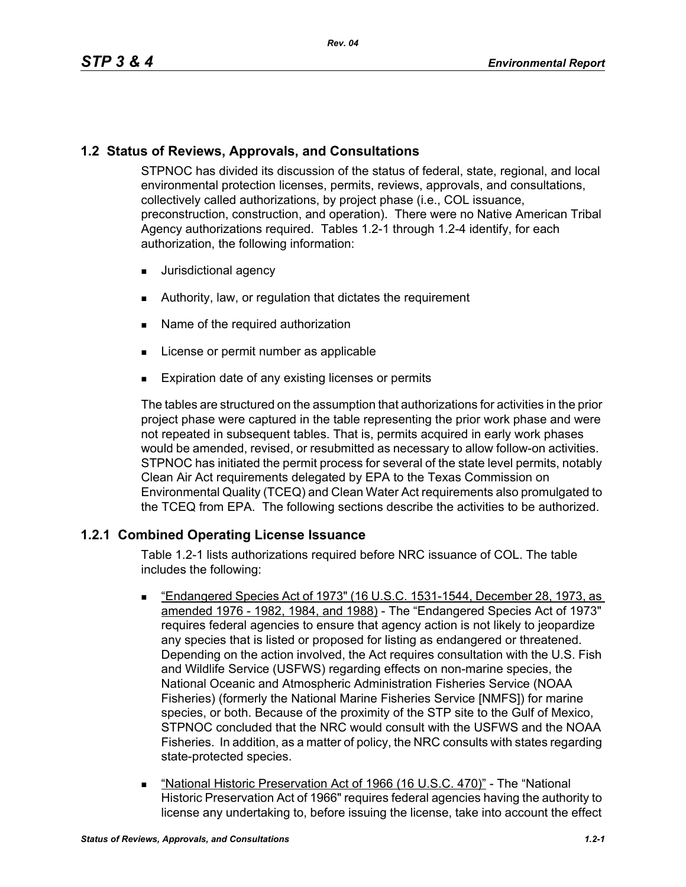# **1.2 Status of Reviews, Approvals, and Consultations**

STPNOC has divided its discussion of the status of federal, state, regional, and local environmental protection licenses, permits, reviews, approvals, and consultations, collectively called authorizations, by project phase (i.e., COL issuance, preconstruction, construction, and operation). There were no Native American Tribal Agency authorizations required. Tables 1.2-1 through 1.2-4 identify, for each authorization, the following information:

- **Jurisdictional agency**
- **EXECUTE:** Authority, law, or regulation that dictates the requirement
- Name of the required authorization
- **License or permit number as applicable**
- **Expiration date of any existing licenses or permits**

The tables are structured on the assumption that authorizations for activities in the prior project phase were captured in the table representing the prior work phase and were not repeated in subsequent tables. That is, permits acquired in early work phases would be amended, revised, or resubmitted as necessary to allow follow-on activities. STPNOC has initiated the permit process for several of the state level permits, notably Clean Air Act requirements delegated by EPA to the Texas Commission on Environmental Quality (TCEQ) and Clean Water Act requirements also promulgated to the TCEQ from EPA. The following sections describe the activities to be authorized.

# **1.2.1 Combined Operating License Issuance**

Table 1.2-1 lists authorizations required before NRC issuance of COL. The table includes the following:

- "Endangered Species Act of 1973" (16 U.S.C. 1531-1544, December 28, 1973, as amended 1976 - 1982, 1984, and 1988) - The "Endangered Species Act of 1973" requires federal agencies to ensure that agency action is not likely to jeopardize any species that is listed or proposed for listing as endangered or threatened. Depending on the action involved, the Act requires consultation with the U.S. Fish and Wildlife Service (USFWS) regarding effects on non-marine species, the National Oceanic and Atmospheric Administration Fisheries Service (NOAA Fisheries) (formerly the National Marine Fisheries Service [NMFS]) for marine species, or both. Because of the proximity of the STP site to the Gulf of Mexico, STPNOC concluded that the NRC would consult with the USFWS and the NOAA Fisheries. In addition, as a matter of policy, the NRC consults with states regarding state-protected species.
- "National Historic Preservation Act of 1966 (16 U.S.C. 470)" The "National Historic Preservation Act of 1966" requires federal agencies having the authority to license any undertaking to, before issuing the license, take into account the effect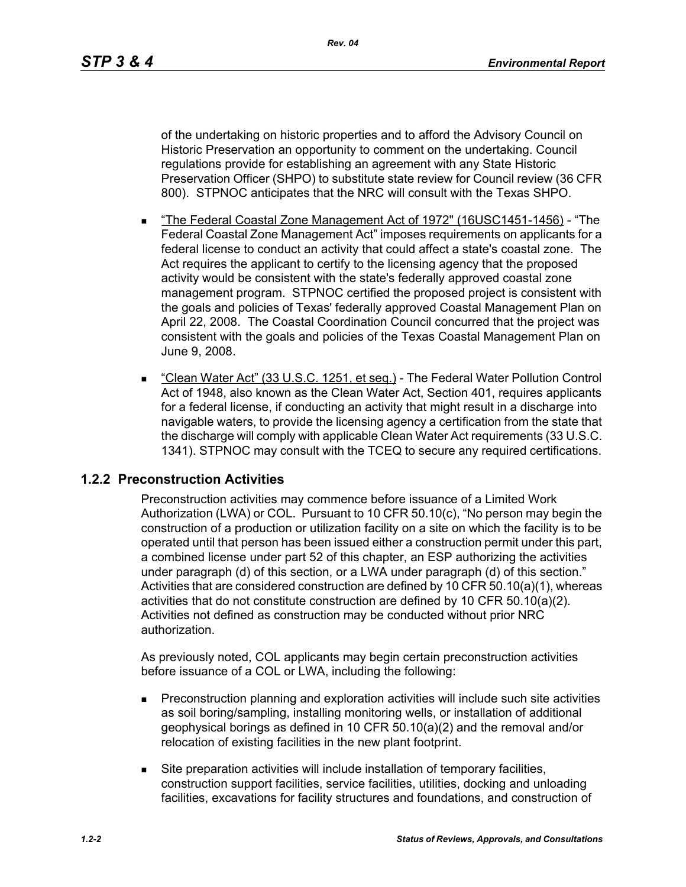of the undertaking on historic properties and to afford the Advisory Council on Historic Preservation an opportunity to comment on the undertaking. Council regulations provide for establishing an agreement with any State Historic Preservation Officer (SHPO) to substitute state review for Council review (36 CFR 800). STPNOC anticipates that the NRC will consult with the Texas SHPO.

- "The Federal Coastal Zone Management Act of 1972" (16USC1451-1456) "The Federal Coastal Zone Management Act" imposes requirements on applicants for a federal license to conduct an activity that could affect a state's coastal zone. The Act requires the applicant to certify to the licensing agency that the proposed activity would be consistent with the state's federally approved coastal zone management program. STPNOC certified the proposed project is consistent with the goals and policies of Texas' federally approved Coastal Management Plan on April 22, 2008. The Coastal Coordination Council concurred that the project was consistent with the goals and policies of the Texas Coastal Management Plan on June 9, 2008.
- "Clean Water Act" (33 U.S.C. 1251, et seq.) The Federal Water Pollution Control Act of 1948, also known as the Clean Water Act, Section 401, requires applicants for a federal license, if conducting an activity that might result in a discharge into navigable waters, to provide the licensing agency a certification from the state that the discharge will comply with applicable Clean Water Act requirements (33 U.S.C. 1341). STPNOC may consult with the TCEQ to secure any required certifications.

## **1.2.2 Preconstruction Activities**

Preconstruction activities may commence before issuance of a Limited Work Authorization (LWA) or COL. Pursuant to 10 CFR 50.10(c), "No person may begin the construction of a production or utilization facility on a site on which the facility is to be operated until that person has been issued either a construction permit under this part, a combined license under part 52 of this chapter, an ESP authorizing the activities under paragraph (d) of this section, or a LWA under paragraph (d) of this section." Activities that are considered construction are defined by 10 CFR 50.10(a)(1), whereas activities that do not constitute construction are defined by 10 CFR 50.10(a)(2). Activities not defined as construction may be conducted without prior NRC authorization.

As previously noted, COL applicants may begin certain preconstruction activities before issuance of a COL or LWA, including the following:

- Preconstruction planning and exploration activities will include such site activities as soil boring/sampling, installing monitoring wells, or installation of additional geophysical borings as defined in 10 CFR 50.10(a)(2) and the removal and/or relocation of existing facilities in the new plant footprint.
- Site preparation activities will include installation of temporary facilities, construction support facilities, service facilities, utilities, docking and unloading facilities, excavations for facility structures and foundations, and construction of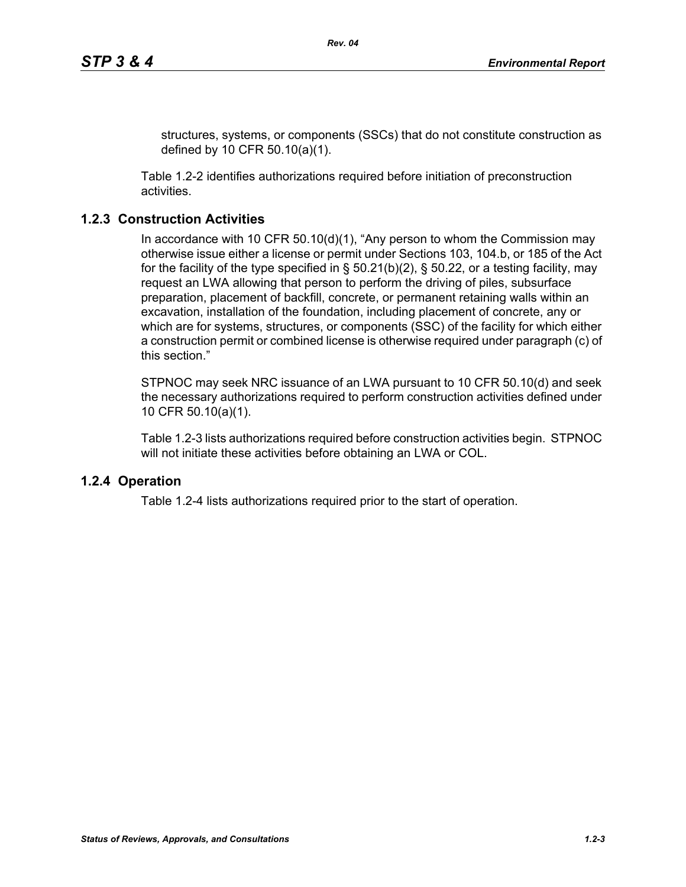structures, systems, or components (SSCs) that do not constitute construction as defined by 10 CFR 50.10(a)(1).

Table 1.2-2 identifies authorizations required before initiation of preconstruction activities.

## **1.2.3 Construction Activities**

In accordance with 10 CFR 50.10(d)(1), "Any person to whom the Commission may otherwise issue either a license or permit under Sections 103, 104.b, or 185 of the Act for the facility of the type specified in  $\S$  50.21(b)(2),  $\S$  50.22, or a testing facility, may request an LWA allowing that person to perform the driving of piles, subsurface preparation, placement of backfill, concrete, or permanent retaining walls within an excavation, installation of the foundation, including placement of concrete, any or which are for systems, structures, or components (SSC) of the facility for which either a construction permit or combined license is otherwise required under paragraph (c) of this section."

STPNOC may seek NRC issuance of an LWA pursuant to 10 CFR 50.10(d) and seek the necessary authorizations required to perform construction activities defined under 10 CFR 50.10(a)(1).

Table 1.2-3 lists authorizations required before construction activities begin. STPNOC will not initiate these activities before obtaining an LWA or COL.

## **1.2.4 Operation**

Table 1.2-4 lists authorizations required prior to the start of operation.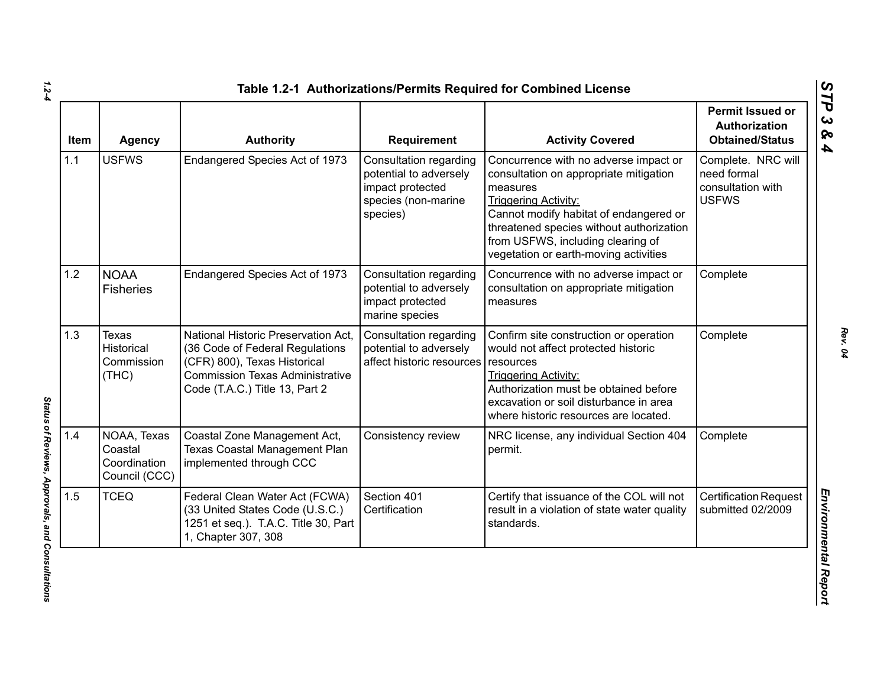| <b>Item</b> | <b>Agency</b>                                           | <b>Authority</b>                                                                                                                                                                   | Requirement                                                                                             | <b>Activity Covered</b>                                                                                                                                                                                                                                                                        | Permit Issued or<br>Authorization<br><b>Obtained/Status</b>            |
|-------------|---------------------------------------------------------|------------------------------------------------------------------------------------------------------------------------------------------------------------------------------------|---------------------------------------------------------------------------------------------------------|------------------------------------------------------------------------------------------------------------------------------------------------------------------------------------------------------------------------------------------------------------------------------------------------|------------------------------------------------------------------------|
| 1.1         | <b>USFWS</b>                                            | Endangered Species Act of 1973                                                                                                                                                     | Consultation regarding<br>potential to adversely<br>impact protected<br>species (non-marine<br>species) | Concurrence with no adverse impact or<br>consultation on appropriate mitigation<br>measures<br><b>Triggering Activity:</b><br>Cannot modify habitat of endangered or<br>threatened species without authorization<br>from USFWS, including clearing of<br>vegetation or earth-moving activities | Complete. NRC will<br>need formal<br>consultation with<br><b>USFWS</b> |
| 1.2         | <b>NOAA</b><br><b>Fisheries</b>                         | Endangered Species Act of 1973                                                                                                                                                     | <b>Consultation regarding</b><br>potential to adversely<br>impact protected<br>marine species           | Concurrence with no adverse impact or<br>consultation on appropriate mitigation<br>measures                                                                                                                                                                                                    | Complete                                                               |
| 1.3         | <b>Texas</b><br>Historical<br>Commission<br>(THC)       | National Historic Preservation Act,<br>(36 Code of Federal Regulations<br>(CFR) 800), Texas Historical<br><b>Commission Texas Administrative</b><br>Code (T.A.C.) Title 13, Part 2 | Consultation regarding<br>potential to adversely<br>affect historic resources                           | Confirm site construction or operation<br>would not affect protected historic<br>resources<br><b>Triggering Activity:</b><br>Authorization must be obtained before<br>excavation or soil disturbance in area<br>where historic resources are located.                                          | Complete                                                               |
| 1.4         | NOAA, Texas<br>Coastal<br>Coordination<br>Council (CCC) | Coastal Zone Management Act,<br><b>Texas Coastal Management Plan</b><br>implemented through CCC                                                                                    | Consistency review                                                                                      | NRC license, any individual Section 404<br>permit.                                                                                                                                                                                                                                             | Complete                                                               |
| 1.5         | <b>TCEQ</b>                                             | Federal Clean Water Act (FCWA)<br>(33 United States Code (U.S.C.)<br>1251 et seq.). T.A.C. Title 30, Part<br>1, Chapter 307, 308                                                   | Section 401<br>Certification                                                                            | Certify that issuance of the COL will not<br>result in a violation of state water quality<br>standards.                                                                                                                                                                                        | <b>Certification Request</b><br>submitted 02/2009                      |

*1.2-4*

Status of Reviews, Approvals, and Consultations *Status of Reviews, Approvals, and Consultations*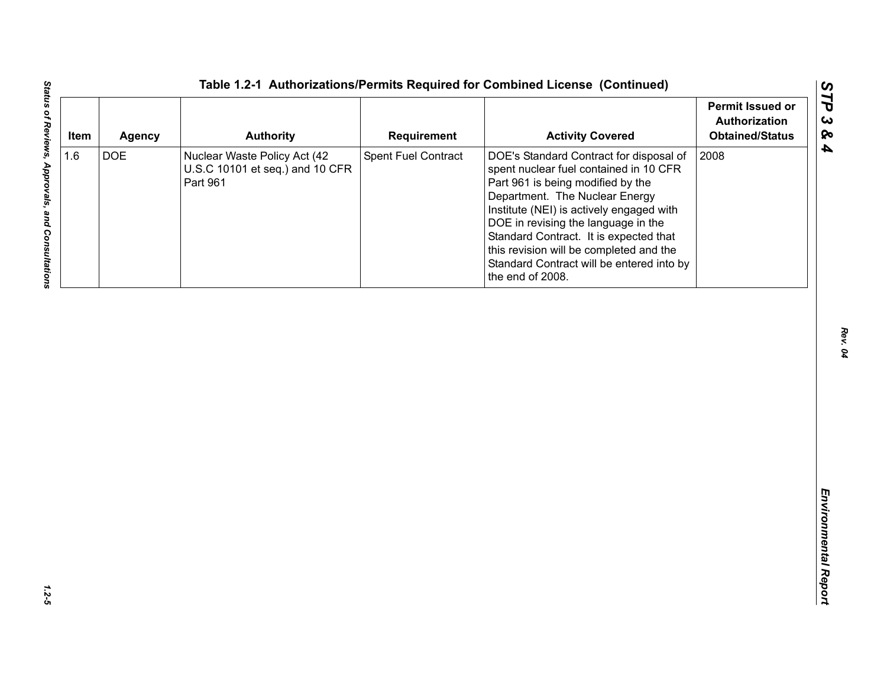| <b>DOE</b><br>Spent Fuel Contract<br>2008<br>Nuclear Waste Policy Act (42<br>DOE's Standard Contract for disposal of<br>U.S.C 10101 et seq.) and 10 CFR<br>spent nuclear fuel contained in 10 CFR<br>Part 961<br>Part 961 is being modified by the<br>Department. The Nuclear Energy<br>Institute (NEI) is actively engaged with | 1.6<br>DOE in revising the language in the |
|----------------------------------------------------------------------------------------------------------------------------------------------------------------------------------------------------------------------------------------------------------------------------------------------------------------------------------|--------------------------------------------|
| Standard Contract. It is expected that<br>this revision will be completed and the<br>Standard Contract will be entered into by<br>the end of 2008.                                                                                                                                                                               |                                            |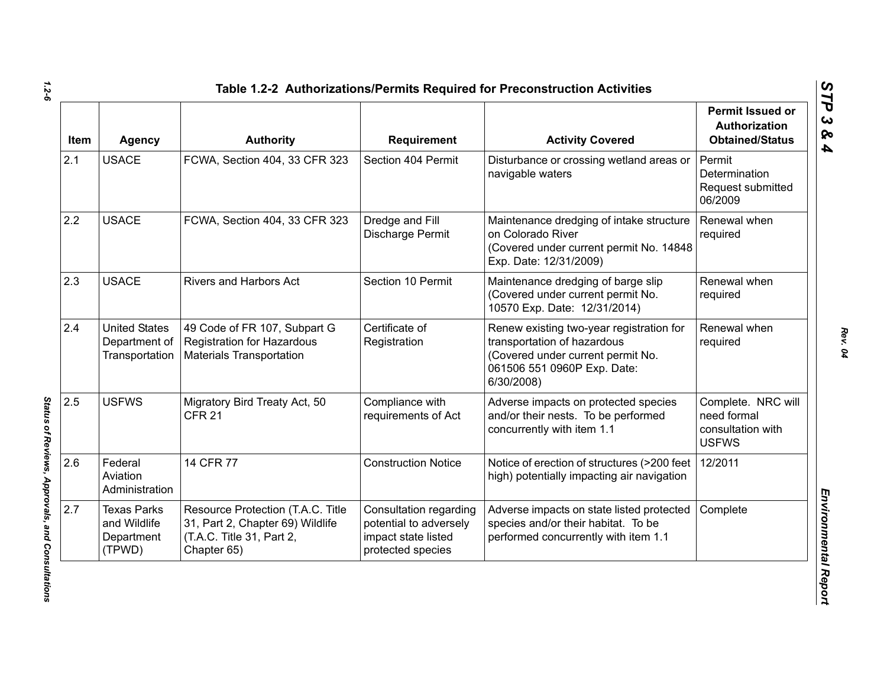| Item | Agency                                                     | <b>Authority</b>                                                                                                  | <b>Requirement</b>                                                                           | <b>Activity Covered</b>                                                                                                                                   | <b>Permit Issued or</b><br>Authorization<br><b>Obtained/Status</b>     |
|------|------------------------------------------------------------|-------------------------------------------------------------------------------------------------------------------|----------------------------------------------------------------------------------------------|-----------------------------------------------------------------------------------------------------------------------------------------------------------|------------------------------------------------------------------------|
| 2.1  | <b>USACE</b>                                               | FCWA, Section 404, 33 CFR 323                                                                                     | Section 404 Permit                                                                           | Disturbance or crossing wetland areas or<br>navigable waters                                                                                              | Permit<br>Determination<br>Request submitted<br>06/2009                |
| 2.2  | <b>USACE</b>                                               | FCWA, Section 404, 33 CFR 323                                                                                     | Dredge and Fill<br>Discharge Permit                                                          | Maintenance dredging of intake structure<br>on Colorado River<br>(Covered under current permit No. 14848<br>Exp. Date: 12/31/2009)                        | Renewal when<br>required                                               |
| 2.3  | <b>USACE</b>                                               | Rivers and Harbors Act                                                                                            | Section 10 Permit                                                                            | Maintenance dredging of barge slip<br>(Covered under current permit No.<br>10570 Exp. Date: 12/31/2014)                                                   | Renewal when<br>required                                               |
| 2.4  | <b>United States</b><br>Department of<br>Transportation    | 49 Code of FR 107, Subpart G<br><b>Registration for Hazardous</b><br><b>Materials Transportation</b>              | Certificate of<br>Registration                                                               | Renew existing two-year registration for<br>transportation of hazardous<br>(Covered under current permit No.<br>061506 551 0960P Exp. Date:<br>6/30/2008) | Renewal when<br>required                                               |
| 2.5  | <b>USFWS</b>                                               | Migratory Bird Treaty Act, 50<br><b>CFR 21</b>                                                                    | Compliance with<br>requirements of Act                                                       | Adverse impacts on protected species<br>and/or their nests. To be performed<br>concurrently with item 1.1                                                 | Complete. NRC will<br>need formal<br>consultation with<br><b>USFWS</b> |
| 2.6  | Federal<br>Aviation<br>Administration                      | 14 CFR 77                                                                                                         | <b>Construction Notice</b>                                                                   | Notice of erection of structures (>200 feet<br>high) potentially impacting air navigation                                                                 | 12/2011                                                                |
| 2.7  | <b>Texas Parks</b><br>and Wildlife<br>Department<br>(TPWD) | Resource Protection (T.A.C. Title<br>31, Part 2, Chapter 69) Wildlife<br>(T.A.C. Title 31, Part 2,<br>Chapter 65) | Consultation regarding<br>potential to adversely<br>impact state listed<br>protected species | Adverse impacts on state listed protected<br>species and/or their habitat. To be<br>performed concurrently with item 1.1                                  | Complete                                                               |

*1.2-6*

Status of Reviews, Approvals, and Consultations *Status of Reviews, Approvals, and Consultations*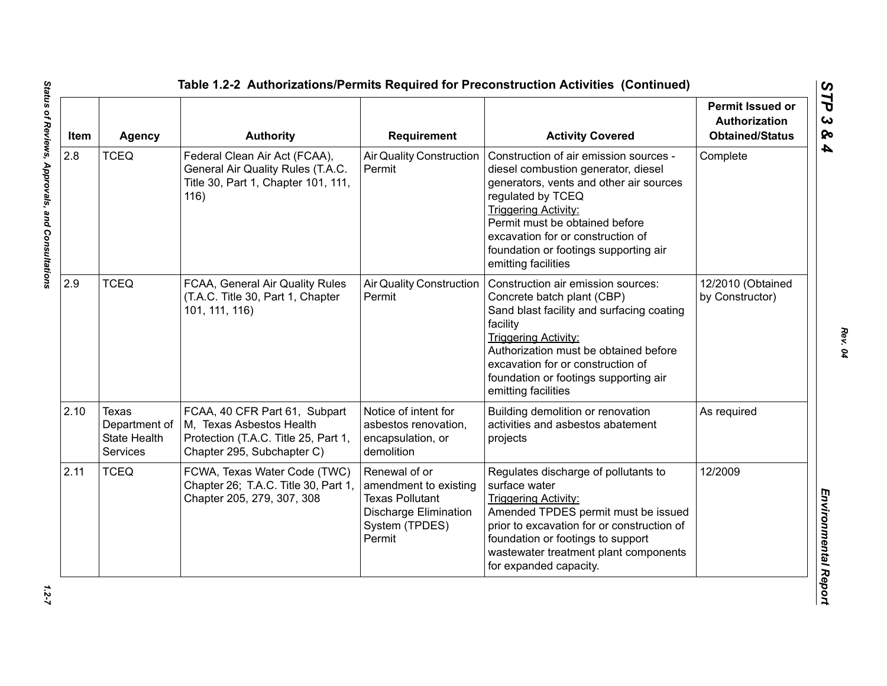| Item | <b>Agency</b>                                                    | <b>Authority</b>                                                                                                                | <b>Requirement</b>                                                                                                           | <b>Activity Covered</b>                                                                                                                                                                                                                                                                                             | <b>Permit Issued or</b><br><b>Authorization</b><br><b>Obtained/Status</b> |
|------|------------------------------------------------------------------|---------------------------------------------------------------------------------------------------------------------------------|------------------------------------------------------------------------------------------------------------------------------|---------------------------------------------------------------------------------------------------------------------------------------------------------------------------------------------------------------------------------------------------------------------------------------------------------------------|---------------------------------------------------------------------------|
| 2.8  | <b>TCEQ</b>                                                      | Federal Clean Air Act (FCAA),<br>General Air Quality Rules (T.A.C.<br>Title 30, Part 1, Chapter 101, 111,<br>116)               | <b>Air Quality Construction</b><br>Permit                                                                                    | Construction of air emission sources -<br>diesel combustion generator, diesel<br>generators, vents and other air sources<br>regulated by TCEQ<br><b>Triggering Activity:</b><br>Permit must be obtained before<br>excavation for or construction of<br>foundation or footings supporting air<br>emitting facilities | Complete                                                                  |
| 2.9  | <b>TCEQ</b>                                                      | FCAA, General Air Quality Rules<br>(T.A.C. Title 30, Part 1, Chapter<br>101, 111, 116)                                          | <b>Air Quality Construction</b><br>Permit                                                                                    | Construction air emission sources:<br>Concrete batch plant (CBP)<br>Sand blast facility and surfacing coating<br>facility<br><b>Triggering Activity:</b><br>Authorization must be obtained before<br>excavation for or construction of<br>foundation or footings supporting air<br>emitting facilities              | 12/2010 (Obtained<br>by Constructor)                                      |
| 2.10 | Texas<br>Department of<br><b>State Health</b><br><b>Services</b> | FCAA, 40 CFR Part 61, Subpart<br>M, Texas Asbestos Health<br>Protection (T.A.C. Title 25, Part 1,<br>Chapter 295, Subchapter C) | Notice of intent for<br>asbestos renovation,<br>encapsulation, or<br>demolition                                              | Building demolition or renovation<br>activities and asbestos abatement<br>projects                                                                                                                                                                                                                                  | As required                                                               |
| 2.11 | <b>TCEQ</b>                                                      | FCWA, Texas Water Code (TWC)<br>Chapter 26; T.A.C. Title 30, Part 1,<br>Chapter 205, 279, 307, 308                              | Renewal of or<br>amendment to existing<br><b>Texas Pollutant</b><br><b>Discharge Elimination</b><br>System (TPDES)<br>Permit | Regulates discharge of pollutants to<br>surface water<br><b>Triggering Activity:</b><br>Amended TPDES permit must be issued<br>prior to excavation for or construction of<br>foundation or footings to support<br>wastewater treatment plant components<br>for expanded capacity.                                   | 12/2009                                                                   |

 $1.2 - 7$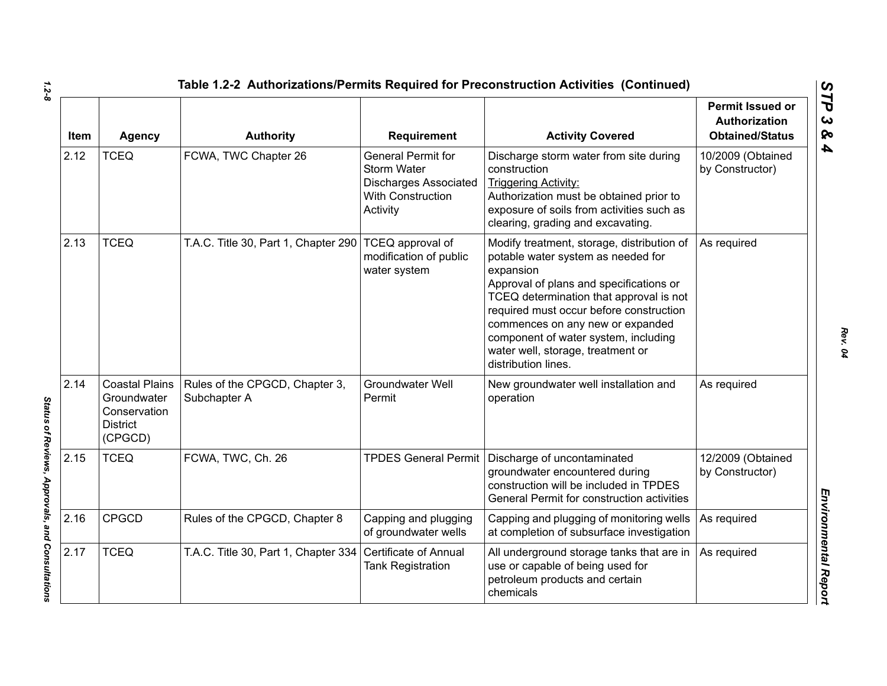| Item | <b>Agency</b>                                                                      | <b>Authority</b>                               | Requirement                                                                                                             | <b>Activity Covered</b>                                                                                                                                                                                                                                                                                                                                                | <b>Permit Issued or</b><br>Authorization<br><b>Obtained/Status</b> |
|------|------------------------------------------------------------------------------------|------------------------------------------------|-------------------------------------------------------------------------------------------------------------------------|------------------------------------------------------------------------------------------------------------------------------------------------------------------------------------------------------------------------------------------------------------------------------------------------------------------------------------------------------------------------|--------------------------------------------------------------------|
| 2.12 | <b>TCEQ</b>                                                                        | FCWA, TWC Chapter 26                           | <b>General Permit for</b><br><b>Storm Water</b><br><b>Discharges Associated</b><br><b>With Construction</b><br>Activity | Discharge storm water from site during<br>construction<br><b>Triggering Activity:</b><br>Authorization must be obtained prior to<br>exposure of soils from activities such as<br>clearing, grading and excavating.                                                                                                                                                     | 10/2009 (Obtained<br>by Constructor)                               |
| 2.13 | <b>TCEQ</b>                                                                        | T.A.C. Title 30, Part 1, Chapter 290           | <b>TCEQ</b> approval of<br>modification of public<br>water system                                                       | Modify treatment, storage, distribution of<br>potable water system as needed for<br>expansion<br>Approval of plans and specifications or<br>TCEQ determination that approval is not<br>required must occur before construction<br>commences on any new or expanded<br>component of water system, including<br>water well, storage, treatment or<br>distribution lines. | As required                                                        |
| 2.14 | <b>Coastal Plains</b><br>Groundwater<br>Conservation<br><b>District</b><br>(CPGCD) | Rules of the CPGCD, Chapter 3,<br>Subchapter A | <b>Groundwater Well</b><br>Permit                                                                                       | New groundwater well installation and<br>operation                                                                                                                                                                                                                                                                                                                     | As required                                                        |
| 2.15 | <b>TCEQ</b>                                                                        | FCWA, TWC, Ch. 26                              |                                                                                                                         | TPDES General Permit Discharge of uncontaminated<br>groundwater encountered during<br>construction will be included in TPDES<br>General Permit for construction activities                                                                                                                                                                                             | 12/2009 (Obtained<br>by Constructor)                               |
| 2.16 | <b>CPGCD</b>                                                                       | Rules of the CPGCD, Chapter 8                  | Capping and plugging<br>of groundwater wells                                                                            | Capping and plugging of monitoring wells<br>at completion of subsurface investigation                                                                                                                                                                                                                                                                                  | As required                                                        |
| 2.17 | <b>TCEQ</b>                                                                        | T.A.C. Title 30, Part 1, Chapter 334           | Certificate of Annual<br><b>Tank Registration</b>                                                                       | All underground storage tanks that are in<br>use or capable of being used for<br>petroleum products and certain<br>chemicals                                                                                                                                                                                                                                           | As required                                                        |

*1.2-8*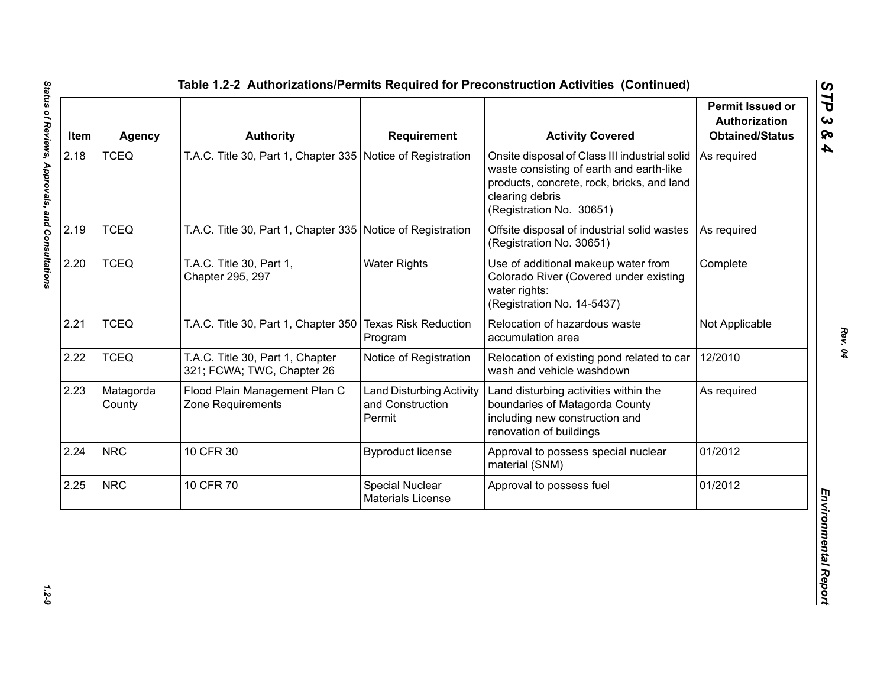| Item | <b>Agency</b>       | <b>Authority</b>                                               | <b>Requirement</b>                                            | <b>Activity Covered</b>                                                                                                                                                                | <b>Permit Issued or</b><br><b>Authorization</b><br><b>Obtained/Status</b> |
|------|---------------------|----------------------------------------------------------------|---------------------------------------------------------------|----------------------------------------------------------------------------------------------------------------------------------------------------------------------------------------|---------------------------------------------------------------------------|
| 2.18 | <b>TCEQ</b>         | T.A.C. Title 30, Part 1, Chapter 335 Notice of Registration    |                                                               | Onsite disposal of Class III industrial solid<br>waste consisting of earth and earth-like<br>products, concrete, rock, bricks, and land<br>clearing debris<br>(Registration No. 30651) | As required                                                               |
| 2.19 | <b>TCEQ</b>         | T.A.C. Title 30, Part 1, Chapter 335 Notice of Registration    |                                                               | Offsite disposal of industrial solid wastes<br>(Registration No. 30651)                                                                                                                | As required                                                               |
| 2.20 | <b>TCEQ</b>         | T.A.C. Title 30, Part 1,<br>Chapter 295, 297                   | <b>Water Rights</b>                                           | Use of additional makeup water from<br>Colorado River (Covered under existing<br>water rights:<br>(Registration No. 14-5437)                                                           | Complete                                                                  |
| 2.21 | <b>TCEQ</b>         | T.A.C. Title 30, Part 1, Chapter 350                           | <b>Texas Risk Reduction</b><br>Program                        | Relocation of hazardous waste<br>accumulation area                                                                                                                                     | Not Applicable                                                            |
| 2.22 | <b>TCEQ</b>         | T.A.C. Title 30, Part 1, Chapter<br>321; FCWA; TWC, Chapter 26 | Notice of Registration                                        | Relocation of existing pond related to car<br>wash and vehicle washdown                                                                                                                | 12/2010                                                                   |
| 2.23 | Matagorda<br>County | Flood Plain Management Plan C<br>Zone Requirements             | <b>Land Disturbing Activity</b><br>and Construction<br>Permit | Land disturbing activities within the<br>boundaries of Matagorda County<br>including new construction and<br>renovation of buildings                                                   | As required                                                               |
| 2.24 | <b>NRC</b>          | 10 CFR 30                                                      | <b>Byproduct license</b>                                      | Approval to possess special nuclear<br>material (SNM)                                                                                                                                  | 01/2012                                                                   |
| 2.25 | <b>NRC</b>          | 10 CFR 70                                                      | Special Nuclear<br><b>Materials License</b>                   | Approval to possess fuel                                                                                                                                                               | 01/2012                                                                   |

 $1.2 - 9$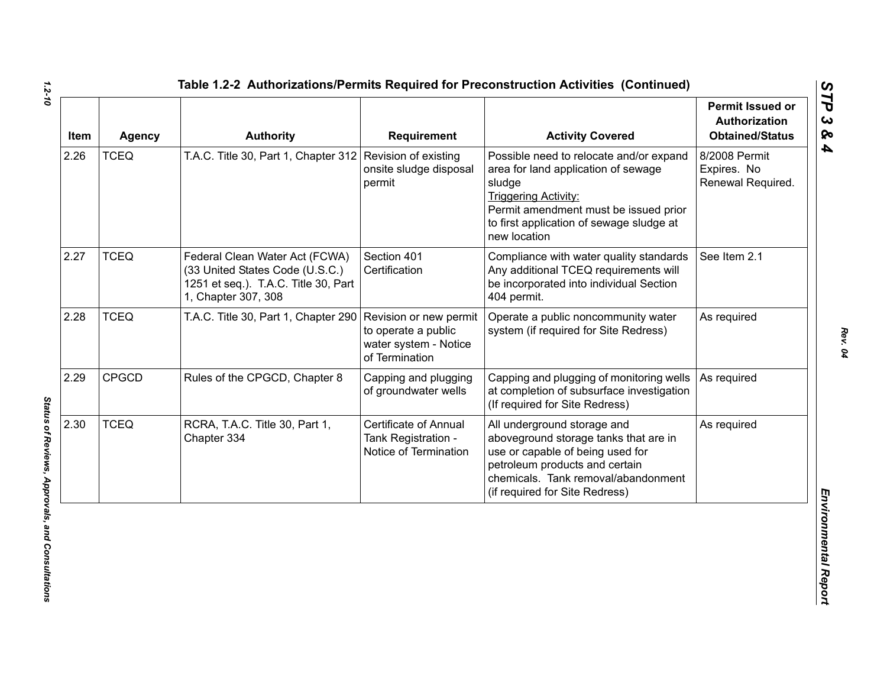| Item | <b>Agency</b> | <b>Authority</b>                                                                                                                 | <b>Requirement</b>                                                                       | <b>Activity Covered</b>                                                                                                                                                                                                      | <b>Permit Issued or</b><br><b>Authorization</b><br><b>Obtained/Status</b> |
|------|---------------|----------------------------------------------------------------------------------------------------------------------------------|------------------------------------------------------------------------------------------|------------------------------------------------------------------------------------------------------------------------------------------------------------------------------------------------------------------------------|---------------------------------------------------------------------------|
| 2.26 | <b>TCEQ</b>   | T.A.C. Title 30, Part 1, Chapter 312 Revision of existing                                                                        | onsite sludge disposal<br>permit                                                         | Possible need to relocate and/or expand<br>area for land application of sewage<br>sludge<br><b>Triggering Activity:</b><br>Permit amendment must be issued prior<br>to first application of sewage sludge at<br>new location | 8/2008 Permit<br>Expires. No<br>Renewal Required.                         |
| 2.27 | <b>TCEQ</b>   | Federal Clean Water Act (FCWA)<br>(33 United States Code (U.S.C.)<br>1251 et seq.). T.A.C. Title 30, Part<br>1, Chapter 307, 308 | Section 401<br>Certification                                                             | Compliance with water quality standards<br>Any additional TCEQ requirements will<br>be incorporated into individual Section<br>404 permit.                                                                                   | See Item 2.1                                                              |
| 2.28 | <b>TCEQ</b>   | T.A.C. Title 30, Part 1, Chapter 290                                                                                             | Revision or new permit<br>to operate a public<br>water system - Notice<br>of Termination | Operate a public noncommunity water<br>system (if required for Site Redress)                                                                                                                                                 | As required                                                               |
| 2.29 | <b>CPGCD</b>  | Rules of the CPGCD, Chapter 8                                                                                                    | Capping and plugging<br>of groundwater wells                                             | Capping and plugging of monitoring wells<br>at completion of subsurface investigation<br>(If required for Site Redress)                                                                                                      | As required                                                               |
| 2.30 | <b>TCEQ</b>   | RCRA, T.A.C. Title 30, Part 1,<br>Chapter 334                                                                                    | <b>Certificate of Annual</b><br>Tank Registration -<br>Notice of Termination             | All underground storage and<br>aboveground storage tanks that are in<br>use or capable of being used for<br>petroleum products and certain<br>chemicals. Tank removal/abandonment<br>(if required for Site Redress)          | As required                                                               |

*1.2-10*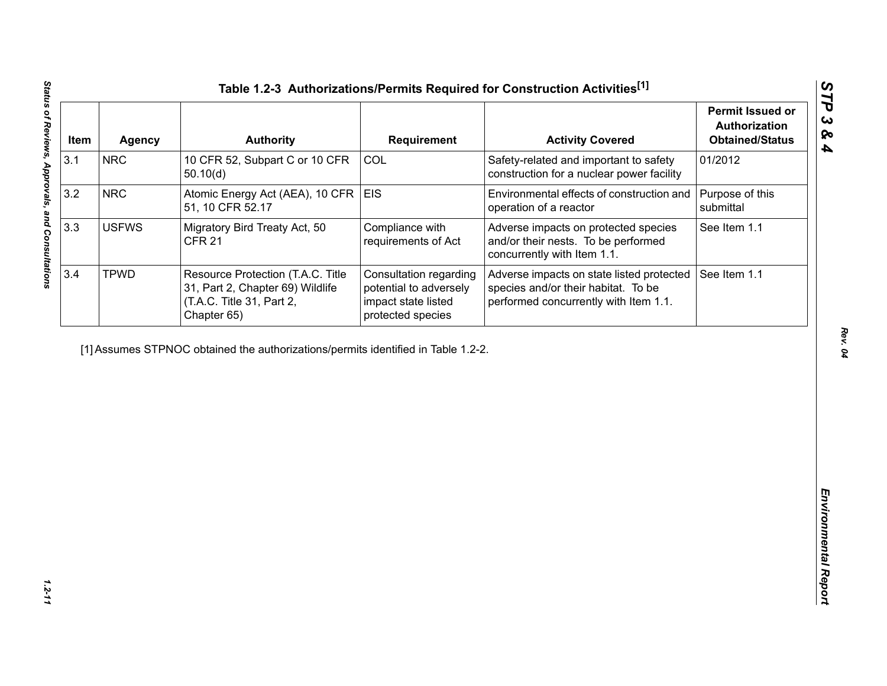| Item | <b>Agency</b> | <b>Authority</b>                                                                                                  | <b>Requirement</b>                                                                           | <b>Activity Covered</b>                                                                                                   | <b>Permit Issued or</b><br>Authorization<br><b>Obtained/Status</b> |
|------|---------------|-------------------------------------------------------------------------------------------------------------------|----------------------------------------------------------------------------------------------|---------------------------------------------------------------------------------------------------------------------------|--------------------------------------------------------------------|
| 3.1  | <b>NRC</b>    | 10 CFR 52, Subpart C or 10 CFR<br>50.10(d)                                                                        | COL                                                                                          | Safety-related and important to safety<br>construction for a nuclear power facility                                       | 01/2012                                                            |
| 3.2  | <b>NRC</b>    | Atomic Energy Act (AEA), 10 CFR<br>51, 10 CFR 52.17                                                               | <b>EIS</b>                                                                                   | Environmental effects of construction and<br>operation of a reactor                                                       | Purpose of this<br>submittal                                       |
| 3.3  | <b>USFWS</b>  | Migratory Bird Treaty Act, 50<br><b>CFR 21</b>                                                                    | Compliance with<br>requirements of Act                                                       | Adverse impacts on protected species<br>and/or their nests. To be performed<br>concurrently with Item 1.1.                | See Item 1.1                                                       |
| 3.4  | <b>TPWD</b>   | Resource Protection (T.A.C. Title<br>31, Part 2, Chapter 69) Wildlife<br>(T.A.C. Title 31, Part 2,<br>Chapter 65) | Consultation regarding<br>potential to adversely<br>impact state listed<br>protected species | Adverse impacts on state listed protected<br>species and/or their habitat. To be<br>performed concurrently with Item 1.1. | See Item 1.1                                                       |
|      |               | [1] Assumes STPNOC obtained the authorizations/permits identified in Table 1.2-2.                                 |                                                                                              |                                                                                                                           |                                                                    |
|      |               |                                                                                                                   |                                                                                              |                                                                                                                           |                                                                    |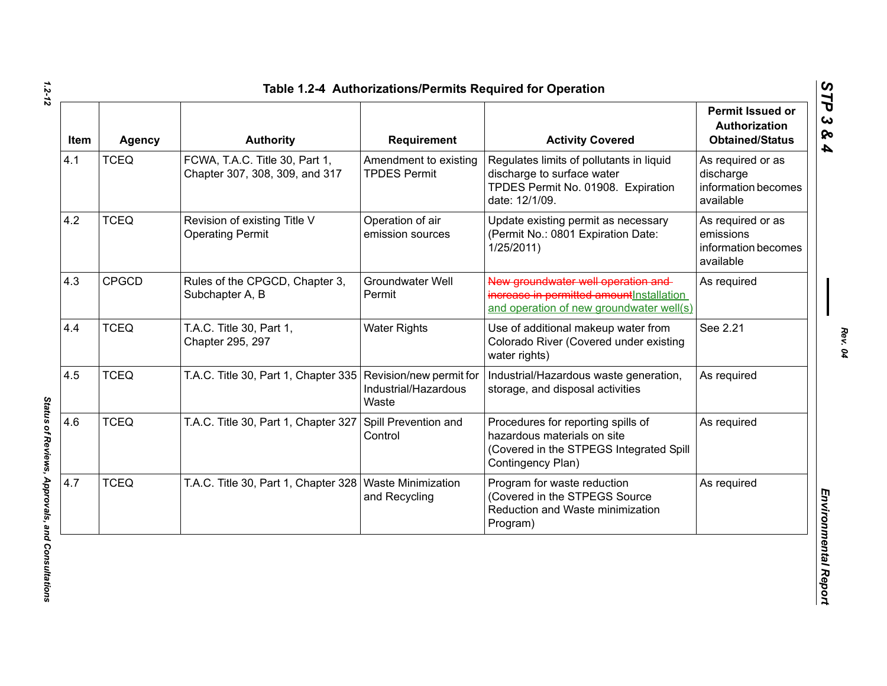| <b>Item</b> | <b>Agency</b> | <b>Authority</b>                                                 | Requirement                                  | <b>Activity Covered</b>                                                                                                           | Permit Issued or<br>Authorization<br><b>Obtained/Status</b>        |
|-------------|---------------|------------------------------------------------------------------|----------------------------------------------|-----------------------------------------------------------------------------------------------------------------------------------|--------------------------------------------------------------------|
| 4.1         | <b>TCEQ</b>   | FCWA, T.A.C. Title 30, Part 1,<br>Chapter 307, 308, 309, and 317 | Amendment to existing<br><b>TPDES Permit</b> | Regulates limits of pollutants in liquid<br>discharge to surface water<br>TPDES Permit No. 01908. Expiration<br>date: 12/1/09.    | As required or as<br>discharge<br>information becomes<br>available |
| 4.2         | <b>TCEQ</b>   | Revision of existing Title V<br><b>Operating Permit</b>          | Operation of air<br>emission sources         | Update existing permit as necessary<br>(Permit No.: 0801 Expiration Date:<br>1/25/2011                                            | As required or as<br>emissions<br>information becomes<br>available |
| 4.3         | <b>CPGCD</b>  | Rules of the CPGCD, Chapter 3,<br>Subchapter A, B                | <b>Groundwater Well</b><br>Permit            | New groundwater well operation and<br>increase in permitted amount Installation<br>and operation of new groundwater well(s)       | As required                                                        |
| 4.4         | <b>TCEQ</b>   | T.A.C. Title 30, Part 1,<br>Chapter 295, 297                     | <b>Water Rights</b>                          | Use of additional makeup water from<br>Colorado River (Covered under existing<br>water rights)                                    | See 2.21                                                           |
| 4.5         | <b>TCEQ</b>   | T.A.C. Title 30, Part 1, Chapter 335 Revision/new permit for     | Industrial/Hazardous<br>Waste                | Industrial/Hazardous waste generation,<br>storage, and disposal activities                                                        | As required                                                        |
| 4.6         | <b>TCEQ</b>   | T.A.C. Title 30, Part 1, Chapter 327                             | Spill Prevention and<br>Control              | Procedures for reporting spills of<br>hazardous materials on site<br>(Covered in the STPEGS Integrated Spill<br>Contingency Plan) | As required                                                        |
| 4.7         | <b>TCEQ</b>   | T.A.C. Title 30, Part 1, Chapter 328   Waste Minimization        | and Recycling                                | Program for waste reduction<br>(Covered in the STPEGS Source<br>Reduction and Waste minimization<br>Program)                      | As required                                                        |

*STP 3 & 4*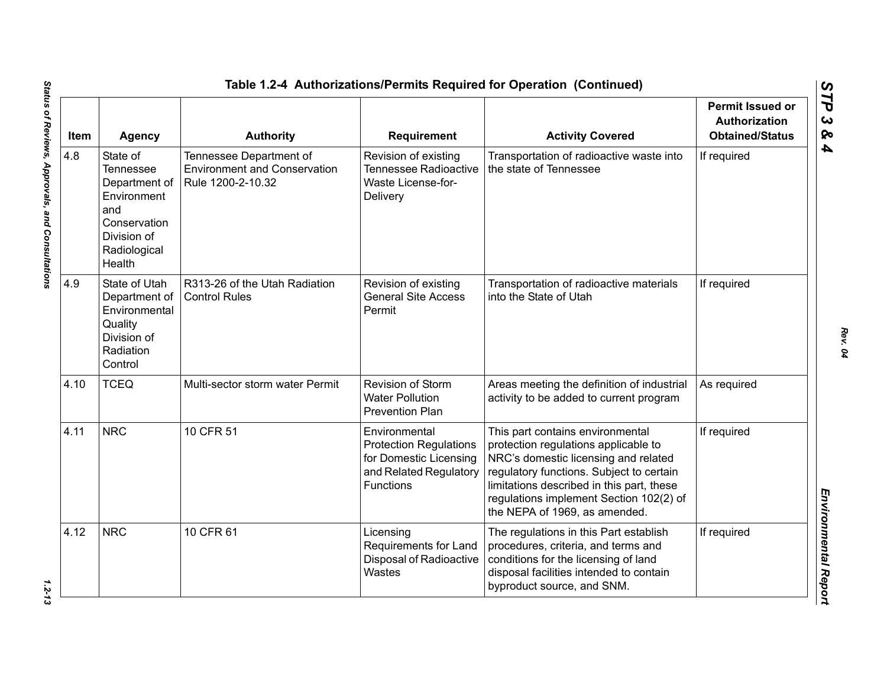| Item | <b>Agency</b>                                                                                                                | <b>Authority</b>                                                                    | <b>Requirement</b>                                                                                                     | <b>Activity Covered</b>                                                                                                                                                                                                                                                               | <b>Permit Issued or</b><br><b>Authorization</b><br><b>Obtained/Status</b> |
|------|------------------------------------------------------------------------------------------------------------------------------|-------------------------------------------------------------------------------------|------------------------------------------------------------------------------------------------------------------------|---------------------------------------------------------------------------------------------------------------------------------------------------------------------------------------------------------------------------------------------------------------------------------------|---------------------------------------------------------------------------|
| 4.8  | State of<br><b>Tennessee</b><br>Department of<br>Environment<br>and<br>Conservation<br>Division of<br>Radiological<br>Health | Tennessee Department of<br><b>Environment and Conservation</b><br>Rule 1200-2-10.32 | Revision of existing<br><b>Tennessee Radioactive</b><br>Waste License-for-<br>Delivery                                 | Transportation of radioactive waste into<br>the state of Tennessee                                                                                                                                                                                                                    | If required                                                               |
| 4.9  | State of Utah<br>Department of<br>Environmental<br>Quality<br>Division of<br>Radiation<br>Control                            | R313-26 of the Utah Radiation<br><b>Control Rules</b>                               | Revision of existing<br><b>General Site Access</b><br>Permit                                                           | Transportation of radioactive materials<br>into the State of Utah                                                                                                                                                                                                                     | If required                                                               |
| 4.10 | <b>TCEQ</b>                                                                                                                  | Multi-sector storm water Permit                                                     | Revision of Storm<br><b>Water Pollution</b><br><b>Prevention Plan</b>                                                  | Areas meeting the definition of industrial<br>activity to be added to current program                                                                                                                                                                                                 | As required                                                               |
| 4.11 | <b>NRC</b>                                                                                                                   | 10 CFR 51                                                                           | Environmental<br><b>Protection Regulations</b><br>for Domestic Licensing<br>and Related Regulatory<br><b>Functions</b> | This part contains environmental<br>protection regulations applicable to<br>NRC's domestic licensing and related<br>regulatory functions. Subject to certain<br>limitations described in this part, these<br>regulations implement Section 102(2) of<br>the NEPA of 1969, as amended. | If required                                                               |
| 4.12 | <b>NRC</b>                                                                                                                   | 10 CFR 61                                                                           | Licensing<br>Requirements for Land<br>Disposal of Radioactive<br>Wastes                                                | The regulations in this Part establish<br>procedures, criteria, and terms and<br>conditions for the licensing of land<br>disposal facilities intended to contain<br>byproduct source, and SNM.                                                                                        | If required                                                               |

 $1.2 - 13$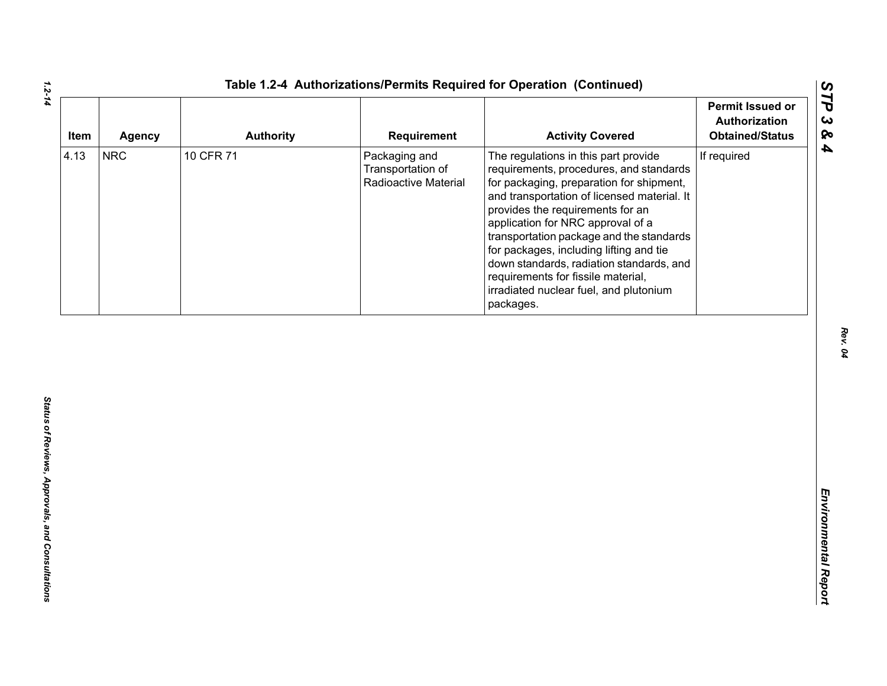| Item | <b>Agency</b> | <b>Authority</b> | Requirement                                                | <b>Activity Covered</b>                                                                                                                                                                                                                                                                                                                                                                                                                                                             | <b>Permit Issued or</b><br>Authorization<br><b>Obtained/Status</b> |
|------|---------------|------------------|------------------------------------------------------------|-------------------------------------------------------------------------------------------------------------------------------------------------------------------------------------------------------------------------------------------------------------------------------------------------------------------------------------------------------------------------------------------------------------------------------------------------------------------------------------|--------------------------------------------------------------------|
| 4.13 | <b>NRC</b>    | 10 CFR 71        | Packaging and<br>Transportation of<br>Radioactive Material | The regulations in this part provide<br>requirements, procedures, and standards<br>for packaging, preparation for shipment,<br>and transportation of licensed material. It<br>provides the requirements for an<br>application for NRC approval of a<br>transportation package and the standards<br>for packages, including lifting and tie<br>down standards, radiation standards, and<br>requirements for fissile material,<br>irradiated nuclear fuel, and plutonium<br>packages. | If required                                                        |
|      |               |                  |                                                            |                                                                                                                                                                                                                                                                                                                                                                                                                                                                                     |                                                                    |
|      |               |                  |                                                            |                                                                                                                                                                                                                                                                                                                                                                                                                                                                                     |                                                                    |